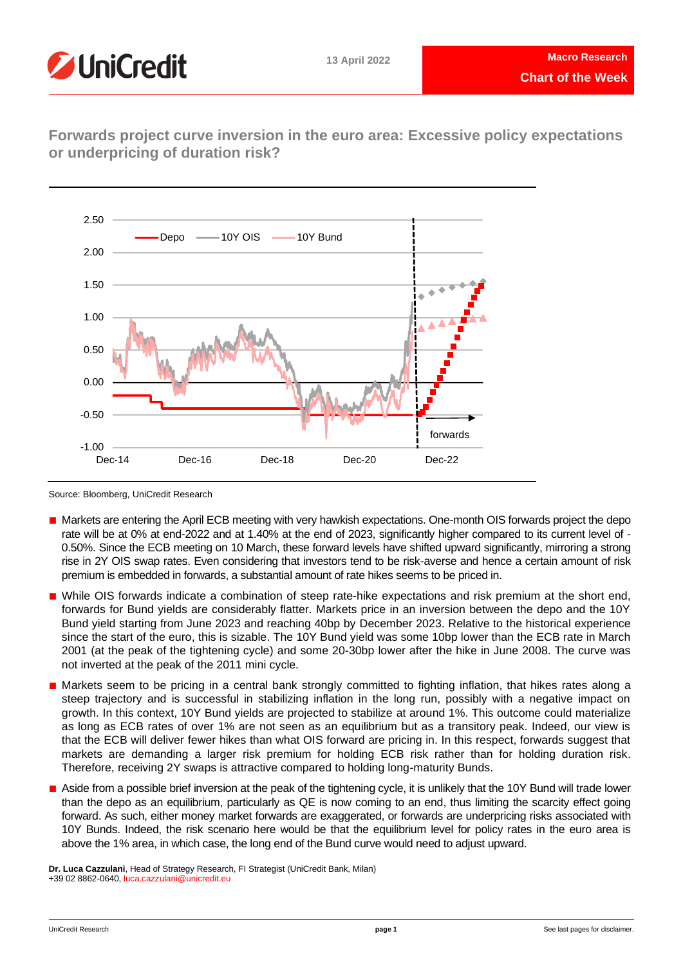

**Forwards project curve inversion in the euro area: Excessive policy expectations or underpricing of duration risk?**



Source: Bloomberg, UniCredit Research

- Markets are entering the April ECB meeting with very hawkish expectations. One-month OIS forwards project the depo rate will be at 0% at end-2022 and at 1.40% at the end of 2023, significantly higher compared to its current level of - 0.50%. Since the ECB meeting on 10 March, these forward levels have shifted upward significantly, mirroring a strong rise in 2Y OIS swap rates. Even considering that investors tend to be risk-averse and hence a certain amount of risk premium is embedded in forwards, a substantial amount of rate hikes seems to be priced in.
- While OIS forwards indicate a combination of steep rate-hike expectations and risk premium at the short end, forwards for Bund yields are considerably flatter. Markets price in an inversion between the depo and the 10Y Bund yield starting from June 2023 and reaching 40bp by December 2023. Relative to the historical experience since the start of the euro, this is sizable. The 10Y Bund yield was some 10bp lower than the ECB rate in March 2001 (at the peak of the tightening cycle) and some 20-30bp lower after the hike in June 2008. The curve was not inverted at the peak of the 2011 mini cycle.
- Markets seem to be pricing in a central bank strongly committed to fighting inflation, that hikes rates along a steep trajectory and is successful in stabilizing inflation in the long run, possibly with a negative impact on growth. In this context, 10Y Bund yields are projected to stabilize at around 1%. This outcome could materialize as long as ECB rates of over 1% are not seen as an equilibrium but as a transitory peak. Indeed, our view is that the ECB will deliver fewer hikes than what OIS forward are pricing in. In this respect, forwards suggest that markets are demanding a larger risk premium for holding ECB risk rather than for holding duration risk. Therefore, receiving 2Y swaps is attractive compared to holding long-maturity Bunds.
- Aside from a possible brief inversion at the peak of the tightening cycle, it is unlikely that the 10Y Bund will trade lower than the depo as an equilibrium, particularly as QE is now coming to an end, thus limiting the scarcity effect going forward. As such, either money market forwards are exaggerated, or forwards are underpricing risks associated with 10Y Bunds. Indeed, the risk scenario here would be that the equilibrium level for policy rates in the euro area is above the 1% area, in which case, the long end of the Bund curve would need to adjust upward.

**Dr. Luca Cazzulani**, Head of Strategy Research, FI Strategist (UniCredit Bank, Milan) +39 02 8862-0640, [luca.cazzulani@unicredit.eu](mailto:luca.cazzulani@unicredit.eu)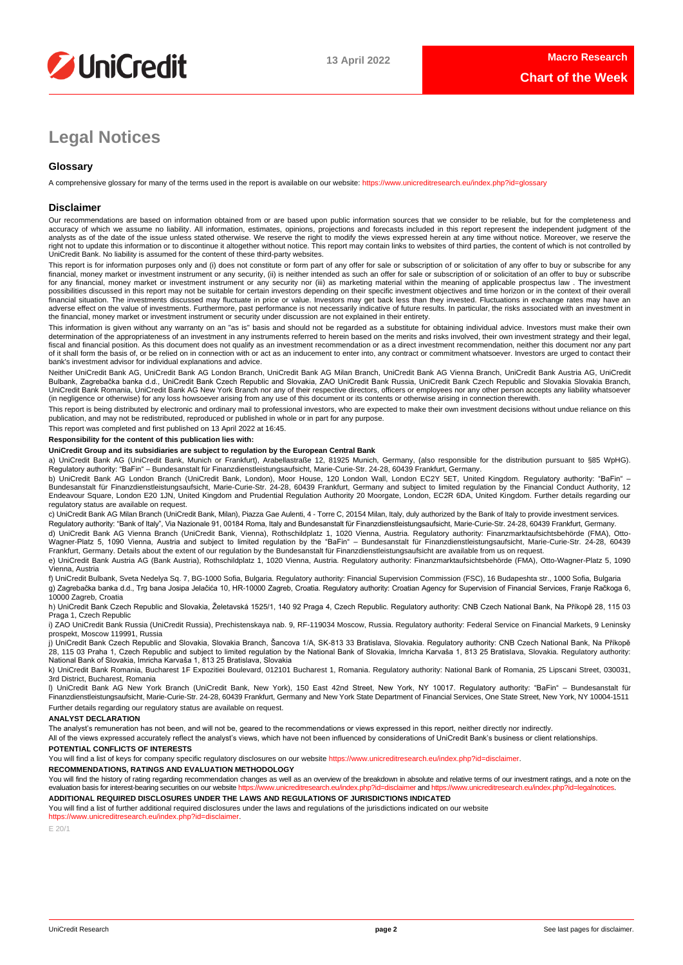

# **Legal Notices**

## **Glossary**

A comprehensive glossary for many of the terms used in the report is available on our website[: https://www.unicreditresearch.eu/index.php?id=glossary](https://www.unicreditresearch.eu/index.php?id=glossary)

## **Disclaimer**

Our recommendations are based on information obtained from or are based upon public information sources that we consider to be reliable, but for the completeness and accuracy of which we assume no liability. All information, estimates, opinions, projections and forecasts included in this report represent the independent judgment of the<br>analysts as of the date of the issue unless stated right not to update this information or to discontinue it altogether without notice. This report may contain links to websites of third parties, the content of which is not controlled by<br>UniCredit Bank. No liability is ass

This report is for information purposes only and (i) does not constitute or form part of any offer for sale or subscription of or solicitation of any offer to buy or subscribe for any<br>financial, money market or investment for any financial, money market or investment instrument or any security nor (iii) as marketing material within the meaning of applicable prospectus law . The investment possibilities discussed in this report may not be suitable for certain investors depending on their specific investment objectives and time horizon or in the context of their overall<br>financial situation. The investments di adverse effect on the value of investments. Furthermore, past performance is not necessarily indicative of future results. In particular, the risks associated with an investment in the financial, money market or investment instrument or security under discussion are not explained in their entirety.

This information is given without any warranty on an "as is" basis and should not be regarded as a substitute for obtaining individual advice. Investors must make their own determination of the appropriateness of an investment in any instruments referred to herein based on the merits and risks involved, their own investment strategy and their legal,<br>fiscal and financial position. As this docu of it shall form the basis of, or be relied on in connection with or act as an inducement to enter into, any contract or commitment whatsoever. Investors are urged to contact their bank's investment advisor for individual explanations and advice.

Neither UniCredit Bank AG, UniCredit Bank AG London Branch, UniCredit Bank AG Milan Branch, UniCredit Bank AG Vienna Branch, UniCredit Bank Austria AG, UniCredit Bulbank, Zagrebačka banka d.d., UniCredit Bank Czech Republic and Slovakia, ZAO UniCredit Bank Russia, UniCredit Bank Czech Republic and Slovakia Slovakia Branch,<br>UniCredit Bank Romania, UniCredit Bank AG New York Branch n (in negligence or otherwise) for any loss howsoever arising from any use of this document or its contents or otherwise arising in connection therewith.

This report is being distributed by electronic and ordinary mail to professional investors, who are expected to make their own investment decisions without undue reliance on this publication, and may not be redistributed, reproduced or published in whole or in part for any purpose.

This report was completed and first published on 13 April 2022 at 16:45.

## **Responsibility for the content of this publication lies with:**

## **UniCredit Group and its subsidiaries are subject to regulation by the European Central Bank**

a) UniCredit Bank AG (UniCredit Bank, Munich or Frankfurt), Arabellastraße 12, 81925 Munich, Germany, (also responsible for the distribution pursuant to §85 WpHG). Regulatory authority: "BaFin" – Bundesanstalt für Finanzdienstleistungsaufsicht, Marie-Curie-Str. 24-28, 60439 Frankfurt, Germany.

b) UniCredit Bank AG London Branch (UniCredit Bank, London), Moor House, 120 London Wall, London EC2Y 5ET, United Kingdom. Regulatory authority: "BaFin" –<br>Bundesanstalt für Finanzdienstleistungsaufsicht, Marie-Curie-Str. 2 regulatory status are available on request.

c) UniCredit Bank AG Milan Branch (UniCredit Bank, Milan), Piazza Gae Aulenti, 4 - Torre C, 20154 Milan, Italy, duly authorized by the Bank of Italy to provide investment services. Regulatory authority: "Bank of Italy", Via Nazionale 91, 00184 Roma, Italy and Bundesanstalt für Finanzdienstleistungsaufsicht, Marie-Curie-Str. 24-28, 60439 Frankfurt, Germany.

d) UniCredit Bank AG Vienna Branch (UniCredit Bank, Vienna), Rothschildplatz 1, 1020 Vienna, Austria. Regulatory authority: Finanzmarktaufsichtsbehörde (FMA), Otto-Wagner-Platz 5, 1090 Vienna, Austria and subject to limited regulation by the "BaFin" – Bundesanstalt für Finanzdienstleistungsaufsicht, Marie-Curie-Str. 24-28, 60439<br>Frankfurt, Germany. Details about the extent of our reg

e) UniCredit Bank Austria AG (Bank Austria), Rothschildplatz 1, 1020 Vienna, Austria. Regulatory authority: Finanzmarktaufsichtsbehörde (FMA), Otto-Wagner-Platz 5, 1090 Vienna, Austria

f) UniCredit Bulbank, Sveta Nedelya Sq. 7, BG-1000 Sofia, Bulgaria. Regulatory authority: Financial Supervision Commission (FSC), 16 Budapeshta str., 1000 Sofia, Bulgaria g) Zagrebačka banka d.d., Trg bana Josipa Jelačića 10, HR-10000 Zagreb, Croatia. Regulatory authority: Croatian Agency for Supervision of Financial Services, Franje Račkoga 6, 10000 Zagreb, Croatia

h) UniCredit Bank Czech Republic and Slovakia, Želetavská 1525/1, 140 92 Praga 4, Czech Republic. Regulatory authority: CNB Czech National Bank, Na Příkopě 28, 115 03 Praga 1, Czech Republic

i) ZAO UniCredit Bank Russia (UniCredit Russia), Prechistenskaya nab. 9, RF-119034 Moscow, Russia. Regulatory authority: Federal Service on Financial Markets, 9 Leninsky prospekt, Moscow 119991, Russia

j) UniCredit Bank Czech Republic and Slovakia, Slovakia Branch, Šancova 1/A, SK-813 33 Bratislava, Slovakia. Regulatory authority: CNB Czech National Bank, Na Příkopě 28, 115 03 Praha 1, Czech Republic and subject to limited regulation by the National Bank of Slovakia, Imricha Karvaša 1, 813 25 Bratislava, Slovakia. Regulatory authority: National Bank of Slovakia, Imricha Karvaša 1, 813 25 Bratislava, Slovakia

k) UniCredit Bank Romania, Bucharest 1F Expozitiei Boulevard, 012101 Bucharest 1, Romania. Regulatory authority: National Bank of Romania, 25 Lipscani Street, 030031, 3rd District, Bucharest, Romania

l) UniCredit Bank AG New York Branch (UniCredit Bank, New York), 150 East 42nd Street, New York, NY 10017. Regulatory authority: "BaFin" – Bundesanstalt für Finanzdienstleistungsaufsicht, Marie-Curie-Str. 24-28, 60439 Frankfurt, Germany and New York State Department of Financial Services, One State Street, New York, NY 10004-1511 Further details regarding our regulatory status are available on request.

## **ANALYST DECLARATION**

The analyst's remuneration has not been, and will not be, geared to the recommendations or views expressed in this report, neither directly nor indirectly.

All of the views expressed accurately reflect the analyst's views, which have not been influenced by considerations of UniCredit Bank's business or client relationships.

## **POTENTIAL CONFLICTS OF INTERESTS**

You will find a list of keys for company specific regulatory disclosures on our websit[e https://www.unicreditresearch.eu/index.php?id=disclaimer.](https://www.unicreditresearch.eu/index.php?id=disclaimer)

**RECOMMENDATIONS, RATINGS AND EVALUATION METHODOLOGY** 

You will find the history of rating regarding recommendation changes as well as an overview of the breakdown in absolute and relative terms of our investment ratings, and a note on the evaluation basis for interest-bearing evaluation basis for interest-bearing securities on our website https://www.unic

**ADDITIONAL REQUIRED DISCLOSURES UNDER THE LAWS AND REGULATIONS OF JURISDICTIONS INDICATED**

You will find a list of further additional required disclosures under the laws and regulations of the jurisdictions indicated on our website [https://www.unicreditresearch.eu/index.php?id=disclaimer.](https://www.unicreditresearch.eu/index.php?id=disclaimer) 

E 20/1